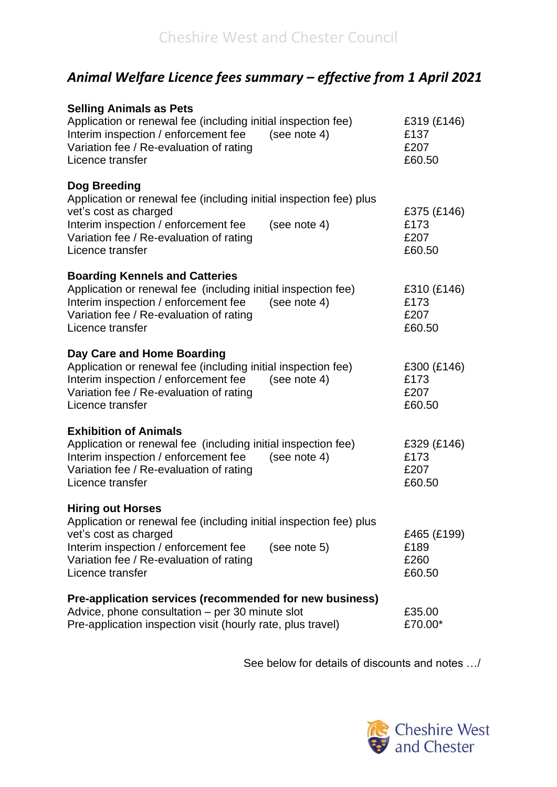## *Animal Welfare Licence fees summary – effective from 1 April 2021*

| <b>Selling Animals as Pets</b><br>Application or renewal fee (including initial inspection fee)<br>Interim inspection / enforcement fee<br>(see note 4)<br>Variation fee / Re-evaluation of rating<br>Licence transfer                         | £319 (£146)<br>£137<br>£207<br>£60.50 |
|------------------------------------------------------------------------------------------------------------------------------------------------------------------------------------------------------------------------------------------------|---------------------------------------|
| Dog Breeding<br>Application or renewal fee (including initial inspection fee) plus<br>vet's cost as charged<br>Interim inspection / enforcement fee<br>(see note 4)<br>Variation fee / Re-evaluation of rating<br>Licence transfer             | £375 (£146)<br>£173<br>£207<br>£60.50 |
| <b>Boarding Kennels and Catteries</b><br>Application or renewal fee (including initial inspection fee)<br>Interim inspection / enforcement fee<br>(see note 4)<br>Variation fee / Re-evaluation of rating<br>Licence transfer                  | £310 (£146)<br>£173<br>£207<br>£60.50 |
| Day Care and Home Boarding<br>Application or renewal fee (including initial inspection fee)<br>Interim inspection / enforcement fee<br>(see note 4)<br>Variation fee / Re-evaluation of rating<br>Licence transfer                             | £300 (£146)<br>£173<br>£207<br>£60.50 |
| <b>Exhibition of Animals</b><br>Application or renewal fee (including initial inspection fee)<br>Interim inspection / enforcement fee<br>(see note $4$ )<br>Variation fee / Re-evaluation of rating<br>Licence transfer                        | £329 (£146)<br>£173<br>£207<br>£60.50 |
| <b>Hiring out Horses</b><br>Application or renewal fee (including initial inspection fee) plus<br>vet's cost as charged<br>Interim inspection / enforcement fee<br>(see note 5)<br>Variation fee / Re-evaluation of rating<br>Licence transfer | £465 (£199)<br>£189<br>£260<br>£60.50 |
| Pre-application services (recommended for new business)<br>Advice, phone consultation – per 30 minute slot<br>Pre-application inspection visit (hourly rate, plus travel)                                                                      | £35.00<br>£70.00*                     |

See below for details of discounts and notes …/